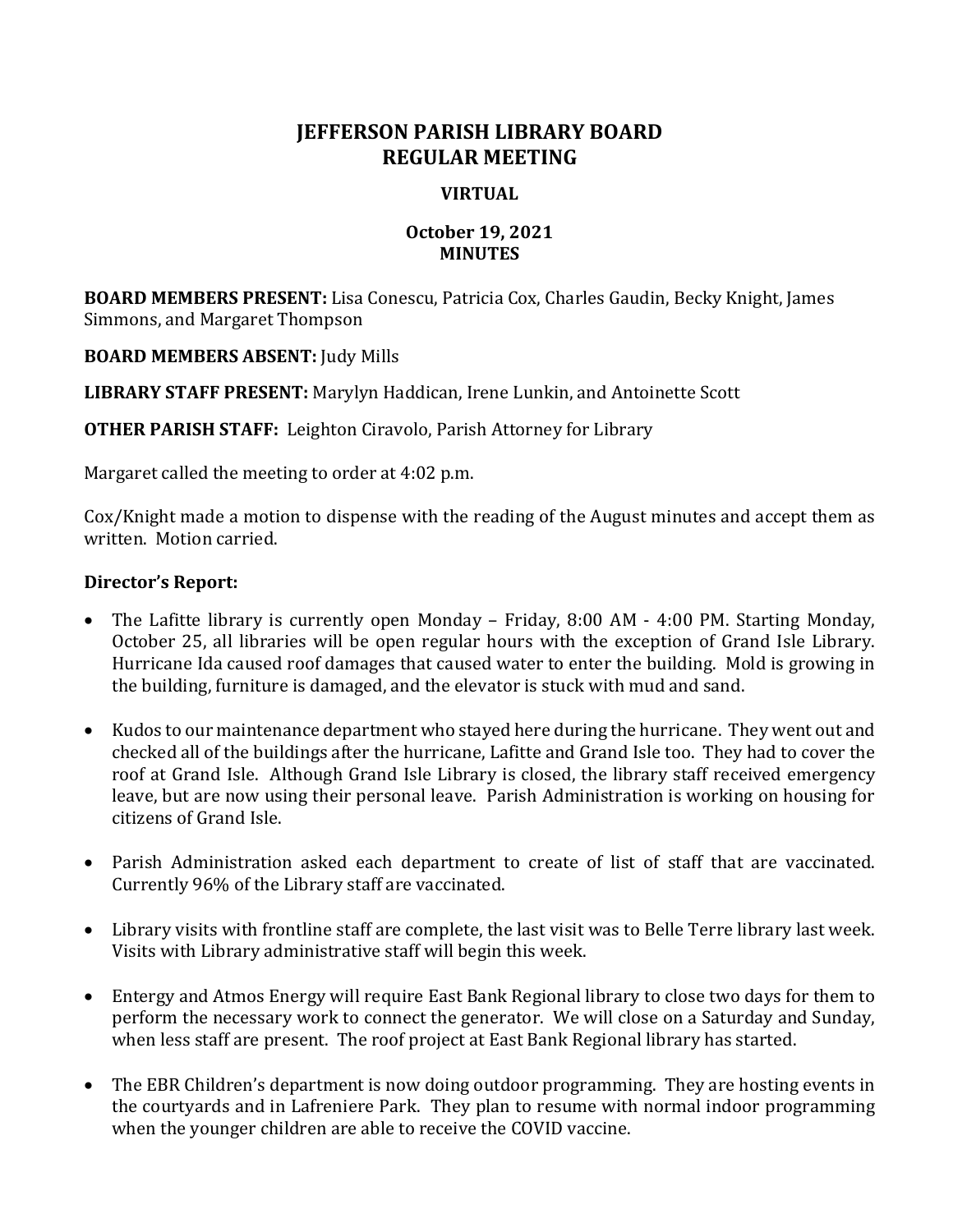# **JEFFERSON PARISH LIBRARY BOARD REGULAR MEETING**

## **VIRTUAL**

## **October 19, 2021 MINUTES**

**BOARD MEMBERS PRESENT:** Lisa Conescu, Patricia Cox, Charles Gaudin, Becky Knight, James Simmons, and Margaret Thompson

**BOARD MEMBERS ABSENT:** Judy Mills

**LIBRARY STAFF PRESENT:** Marylyn Haddican, Irene Lunkin, and Antoinette Scott

**OTHER PARISH STAFF:** Leighton Ciravolo, Parish Attorney for Library

Margaret called the meeting to order at 4:02 p.m.

Cox/Knight made a motion to dispense with the reading of the August minutes and accept them as written. Motion carried.

#### **Director's Report:**

- The Lafitte library is currently open Monday Friday, 8:00 AM 4:00 PM. Starting Monday, October 25, all libraries will be open regular hours with the exception of Grand Isle Library. Hurricane Ida caused roof damages that caused water to enter the building. Mold is growing in the building, furniture is damaged, and the elevator is stuck with mud and sand.
- Kudos to our maintenance department who stayed here during the hurricane. They went out and checked all of the buildings after the hurricane, Lafitte and Grand Isle too. They had to cover the roof at Grand Isle. Although Grand Isle Library is closed, the library staff received emergency leave, but are now using their personal leave. Parish Administration is working on housing for citizens of Grand Isle.
- Parish Administration asked each department to create of list of staff that are vaccinated. Currently 96% of the Library staff are vaccinated.
- Library visits with frontline staff are complete, the last visit was to Belle Terre library last week. Visits with Library administrative staff will begin this week.
- Entergy and Atmos Energy will require East Bank Regional library to close two days for them to perform the necessary work to connect the generator. We will close on a Saturday and Sunday, when less staff are present. The roof project at East Bank Regional library has started.
- The EBR Children's department is now doing outdoor programming. They are hosting events in the courtyards and in Lafreniere Park. They plan to resume with normal indoor programming when the younger children are able to receive the COVID vaccine.